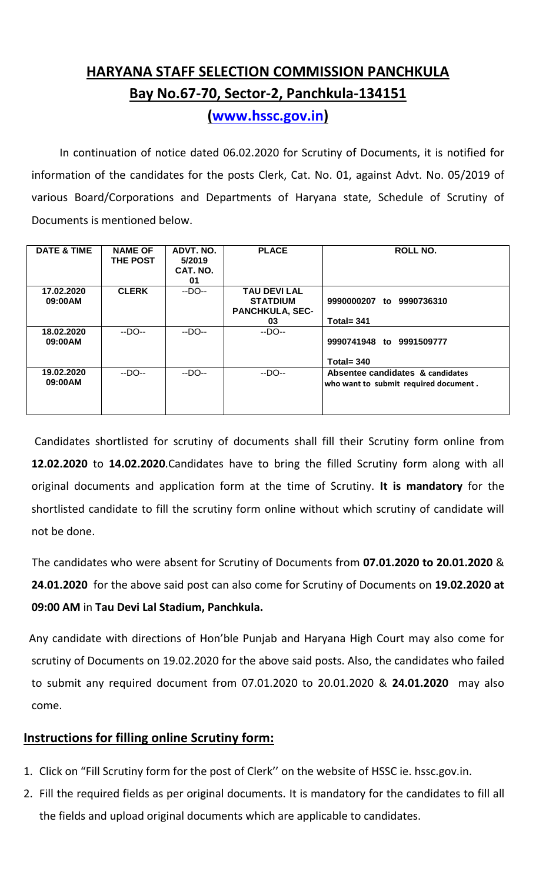## **HARYANA STAFF SELECTION COMMISSION PANCHKULA Bay No.67-70, Sector-2, Panchkula-134151**

**[\(www.hssc.gov.in\)](http://www.hssc.gov.in/)**

 In continuation of notice dated 06.02.2020 for Scrutiny of Documents, it is notified for information of the candidates for the posts Clerk, Cat. No. 01, against Advt. No. 05/2019 of various Board/Corporations and Departments of Haryana state, Schedule of Scrutiny of Documents is mentioned below.

| <b>DATE &amp; TIME</b> | <b>NAME OF</b><br><b>THE POST</b> | ADVT. NO.<br>5/2019<br>CAT. NO.<br>01 | <b>PLACE</b>                                                           | <b>ROLL NO.</b>                                                           |
|------------------------|-----------------------------------|---------------------------------------|------------------------------------------------------------------------|---------------------------------------------------------------------------|
| 17.02.2020<br>09:00AM  | <b>CLERK</b>                      | $-DO-$                                | <b>TAU DEVI LAL</b><br><b>STATDIUM</b><br><b>PANCHKULA, SEC-</b><br>03 | 9990000207 to 9990736310<br>Total= $341$                                  |
| 18.02.2020<br>09:00AM  | $-DO-$                            | $-DO-$                                | $-DO-$                                                                 | 9990741948 to 9991509777<br>Total= $340$                                  |
| 19.02.2020<br>09:00AM  | $-DO-$                            | $-DO-$                                | $-DO-$                                                                 | Absentee candidates & candidates<br>who want to submit required document. |

 Candidates shortlisted for scrutiny of documents shall fill their Scrutiny form online from **12.02.2020** to **14.02.2020**.Candidates have to bring the filled Scrutiny form along with all original documents and application form at the time of Scrutiny. **It is mandatory** for the shortlisted candidate to fill the scrutiny form online without which scrutiny of candidate will not be done.

 The candidates who were absent for Scrutiny of Documents from **07.01.2020 to 20.01.2020** & **24.01.2020** for the above said post can also come for Scrutiny of Documents on **19.02.2020 at 09:00 AM** in **Tau Devi Lal Stadium, Panchkula.**

 Any candidate with directions of Hon'ble Punjab and Haryana High Court may also come for scrutiny of Documents on 19.02.2020 for the above said posts. Also, the candidates who failed to submit any required document from 07.01.2020 to 20.01.2020 & **24.01.2020** may also come.

## **Instructions for filling online Scrutiny form:**

- 1. Click on "Fill Scrutiny form for the post of Clerk'' on the website of HSSC ie. hssc.gov.in.
- 2. Fill the required fields as per original documents. It is mandatory for the candidates to fill all the fields and upload original documents which are applicable to candidates.